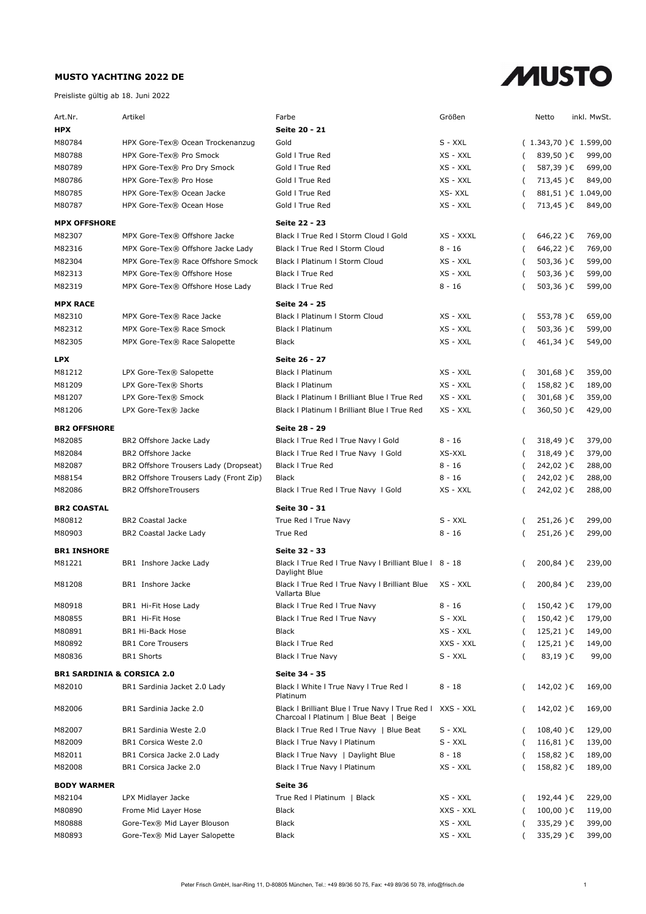

| Art.Nr.                               | Artikel                                              | Farbe                                                                                      | Größen               |          | Netto                   | inkl. MwSt.      |
|---------------------------------------|------------------------------------------------------|--------------------------------------------------------------------------------------------|----------------------|----------|-------------------------|------------------|
| <b>HPX</b>                            |                                                      | Seite 20 - 21                                                                              |                      |          |                         |                  |
| M80784                                | HPX Gore-Tex® Ocean Trockenanzug                     | Gold                                                                                       | S - XXL              |          | $(1.343,70)$ € 1.599,00 |                  |
| M80788                                | HPX Gore-Tex® Pro Smock                              | Gold I True Red                                                                            | XS - XXL             | (        | 839,50)€                | 999,00           |
| M80789                                | HPX Gore-Tex® Pro Dry Smock                          | Gold I True Red                                                                            | XS - XXL             | (        | 587,39)€                | 699,00           |
| M80786                                | HPX Gore-Tex® Pro Hose                               | Gold I True Red                                                                            | XS - XXL             | (        | 713,45)€                | 849,00           |
| M80785                                | HPX Gore-Tex® Ocean Jacke                            | Gold I True Red                                                                            | XS-XXL               | - (      | 881,51)€ 1.049,00       |                  |
| M80787                                | HPX Gore-Tex® Ocean Hose                             | Gold I True Red                                                                            | XS - XXL             |          | 713,45)€                | 849,00           |
| <b>MPX OFFSHORE</b>                   |                                                      | Seite 22 - 23                                                                              |                      |          |                         |                  |
| M82307                                | MPX Gore-Tex® Offshore Jacke                         | Black I True Red I Storm Cloud I Gold                                                      | XS - XXXL            | - (      | 646,22)€                | 769,00           |
| M82316                                | MPX Gore-Tex® Offshore Jacke Lady                    | Black I True Red I Storm Cloud                                                             | $8 - 16$             | - (      | $646,22$ ) €            | 769,00           |
| M82304                                | MPX Gore-Tex® Race Offshore Smock                    | Black   Platinum   Storm Cloud                                                             | XS - XXL             | - (      | 503,36) €               | 599,00           |
| M82313                                | MPX Gore-Tex® Offshore Hose                          | <b>Black I True Red</b>                                                                    | XS - XXL             | (        | 503,36) €               | 599,00           |
| M82319                                | MPX Gore-Tex® Offshore Hose Lady                     | <b>Black I True Red</b>                                                                    | $8 - 16$             | - (      | 503,36) €               | 599,00           |
|                                       |                                                      |                                                                                            |                      |          |                         |                  |
| <b>MPX RACE</b>                       |                                                      | Seite 24 - 25                                                                              |                      |          |                         |                  |
| M82310<br>M82312                      | MPX Gore-Tex® Race Jacke<br>MPX Gore-Tex® Race Smock | Black   Platinum   Storm Cloud<br><b>Black   Platinum</b>                                  | XS - XXL<br>XS - XXL | - (      | 553,78)€<br>503,36)€    | 659,00<br>599,00 |
| M82305                                | MPX Gore-Tex® Race Salopette                         | Black                                                                                      | XS - XXL             | (        | 461,34)€                | 549,00           |
|                                       |                                                      |                                                                                            |                      |          |                         |                  |
| <b>LPX</b>                            |                                                      | Seite 26 - 27                                                                              |                      |          |                         |                  |
| M81212                                | LPX Gore-Tex® Salopette                              | <b>Black I Platinum</b>                                                                    | XS - XXL             | - (      | 301,68) €               | 359,00           |
| M81209                                | LPX Gore-Tex® Shorts                                 | <b>Black   Platinum</b>                                                                    | XS - XXL             | (        | 158,82)€                | 189,00           |
| M81207                                | LPX Gore-Tex® Smock                                  | Black I Platinum I Brilliant Blue I True Red                                               | XS - XXL             | (        | 301,68)€                | 359,00           |
| M81206                                | LPX Gore-Tex® Jacke                                  | Black I Platinum I Brilliant Blue I True Red                                               | XS - XXL             | (        | 360,50)€                | 429,00           |
| <b>BR2 OFFSHORE</b>                   |                                                      | Seite 28 - 29                                                                              |                      |          |                         |                  |
| M82085                                | BR2 Offshore Jacke Lady                              | Black I True Red I True Navy I Gold                                                        | 8 - 16               | (        | 318,49) €               | 379,00           |
| M82084                                | BR2 Offshore Jacke                                   | Black I True Red I True Navy I Gold                                                        | XS-XXL               |          | 318,49)€                | 379,00           |
| M82087                                | BR2 Offshore Trousers Lady (Dropseat)                | <b>Black I True Red</b>                                                                    | $8 - 16$             | (        | 242,02)€                | 288,00           |
| M88154                                | BR2 Offshore Trousers Lady (Front Zip)               | <b>Black</b>                                                                               | $8 - 16$             | (        | 242,02)€                | 288,00           |
| M82086                                | <b>BR2 OffshoreTrousers</b>                          | Black I True Red I True Navy I Gold                                                        | XS - XXL             | (        | 242,02)€                | 288,00           |
| <b>BR2 COASTAL</b>                    |                                                      | Seite 30 - 31                                                                              |                      |          |                         |                  |
| M80812                                | <b>BR2 Coastal Jacke</b>                             | True Red I True Navy                                                                       | $S - XXL$            | (        | 251,26)€                | 299,00           |
| M80903                                | BR2 Coastal Jacke Lady                               | True Red                                                                                   | $8 - 16$             | (        | 251,26)€                | 299,00           |
| <b>BR1 INSHORE</b>                    |                                                      | Seite 32 - 33                                                                              |                      |          |                         |                  |
| M81221                                | BR1 Inshore Jacke Lady                               | Black I True Red I True Navy I Brilliant Blue I 8 - 18                                     |                      | $\left($ | 200,84)€                | 239,00           |
|                                       |                                                      | Daylight Blue                                                                              |                      |          |                         |                  |
| M81208                                | BR1 Inshore Jacke                                    | Black I True Red I True Navy I Brilliant Blue<br>Vallarta Blue                             | XS - XXL             | (        | 200,84)€                | 239,00           |
| M80918                                | BR1 Hi-Fit Hose Lady                                 | Black I True Red I True Navy                                                               | 8 - 16               |          | 150,42)€                | 179,00           |
| M80855                                | BR1 Hi-Fit Hose                                      | Black I True Red I True Navy                                                               | S - XXL              | - (      | 150,42)€                | 179,00           |
| M80891                                | BR1 Hi-Back Hose                                     | Black                                                                                      | XS - XXL             | (        | $125,21$ ) €            | 149,00           |
| M80892                                | <b>BR1 Core Trousers</b>                             | Black I True Red                                                                           | XXS - XXL            | (        | 125,21)€                | 149,00           |
| M80836                                | <b>BR1 Shorts</b>                                    | <b>Black I True Navy</b>                                                                   | S - XXL              |          | 83,19)€                 | 99,00            |
| <b>BR1 SARDINIA &amp; CORSICA 2.0</b> |                                                      | Seite 34 - 35                                                                              |                      |          |                         |                  |
| M82010                                | BR1 Sardinia Jacket 2.0 Lady                         | Black I White I True Navy I True Red I<br>Platinum                                         | 8 - 18               | (        | 142,02)€                | 169,00           |
| M82006                                | BR1 Sardinia Jacke 2.0                               | Black I Brilliant Blue I True Navy I True Red I<br>Charcoal I Platinum   Blue Beat   Beige | XXS - XXL            |          | 142,02)€                | 169,00           |
| M82007                                | BR1 Sardinia Weste 2.0                               | Black I True Red I True Navy   Blue Beat                                                   | S - XXL              | (        | $108,40$ ) €            | 129,00           |
| M82009                                | BR1 Corsica Weste 2.0                                | Black I True Navy I Platinum                                                               | S - XXL              | (        | $116,81$ ) €            | 139,00           |
| M82011                                | BR1 Corsica Jacke 2.0 Lady                           | Black I True Navy   Daylight Blue                                                          | $8 - 18$             | (        | 158,82)€                | 189,00           |
| M82008                                | BR1 Corsica Jacke 2.0                                | Black I True Navy I Platinum                                                               | XS - XXL             |          | 158,82)€                | 189,00           |
| Seite 36<br><b>BODY WARMER</b>        |                                                      |                                                                                            |                      |          |                         |                  |
| M82104                                | LPX Midlayer Jacke                                   | True Red   Platinum   Black                                                                | XS - XXL             |          | 192,44)€                | 229,00           |
| M80890                                | Frome Mid Layer Hose                                 | Black                                                                                      | XXS - XXL            |          | $100,00$ ) €            | 119,00           |
| M80888                                | Gore-Tex® Mid Layer Blouson                          | Black                                                                                      | XS - XXL             |          | 335,29)€                | 399,00           |
| M80893                                | Gore-Tex® Mid Layer Salopette                        | Black                                                                                      | XS - XXL             |          | 335,29)€                | 399,00           |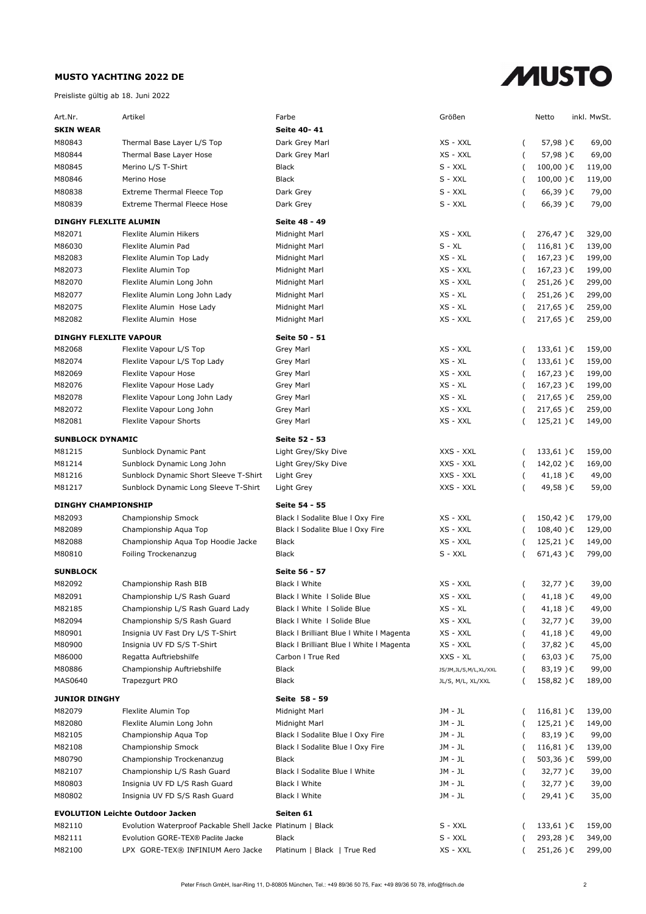

| Art.Nr.                       | Artikel                                                    | Farbe                                    | Größen                   |                          | Netto        | inkl. MwSt. |
|-------------------------------|------------------------------------------------------------|------------------------------------------|--------------------------|--------------------------|--------------|-------------|
| <b>SKIN WEAR</b>              |                                                            | Seite 40-41                              |                          |                          |              |             |
| M80843                        | Thermal Base Layer L/S Top                                 | Dark Grey Marl                           | XS - XXL                 | $\left($                 | 57,98)€      | 69,00       |
| M80844                        | Thermal Base Layer Hose                                    | Dark Grey Marl                           | XS - XXL                 | $\left($                 | 57,98)€      | 69,00       |
| M80845                        | Merino L/S T-Shirt                                         | <b>Black</b>                             | S - XXL                  | $\overline{ }$           | $100,00$ ) € | 119,00      |
| M80846                        | Merino Hose                                                | <b>Black</b>                             | S - XXL                  | $\overline{\phantom{a}}$ | $100,00$ ) € | 119,00      |
| M80838                        | <b>Extreme Thermal Fleece Top</b>                          | Dark Grey                                | S - XXL                  | (                        | 66,39)€      | 79,00       |
| M80839                        | <b>Extreme Thermal Fleece Hose</b>                         | Dark Grey                                | S - XXL                  |                          | 66,39)€      | 79,00       |
|                               |                                                            |                                          |                          |                          |              |             |
| DINGHY FLEXLITE ALUMIN        |                                                            | Seite 48 - 49                            |                          |                          |              |             |
| M82071                        | Flexlite Alumin Hikers                                     | Midnight Marl                            | XS - XXL                 |                          | 276,47)€     | 329,00      |
| M86030                        | Flexlite Alumin Pad                                        | Midnight Marl                            | $S - XL$                 |                          | $116,81$ ) € | 139,00      |
| M82083                        | Flexlite Alumin Top Lady                                   | Midnight Marl                            | $XS - XL$                | $\overline{ }$           | 167,23)€     | 199,00      |
| M82073                        | Flexlite Alumin Top                                        | Midnight Marl                            | XS - XXL                 | $\overline{ }$           | 167,23)€     | 199,00      |
| M82070                        | Flexlite Alumin Long John                                  | Midnight Marl                            | XS - XXL                 | $\overline{ }$           | 251,26)€     | 299,00      |
| M82077                        | Flexlite Alumin Long John Lady                             | Midnight Marl                            | XS - XL                  |                          | 251,26)€     | 299,00      |
| M82075                        | Flexlite Alumin Hose Lady                                  | Midnight Marl                            | $XS - XL$                | $\overline{ }$           | 217,65)€     | 259,00      |
| M82082                        | Flexlite Alumin Hose                                       | Midnight Marl                            | XS - XXL                 |                          | 217,65)€     | 259,00      |
| <b>DINGHY FLEXLITE VAPOUR</b> |                                                            | Seite 50 - 51                            |                          |                          |              |             |
| M82068                        | Flexlite Vapour L/S Top                                    | <b>Grey Marl</b>                         | XS - XXL                 | $\overline{ }$           | $133,61$ ) € | 159,00      |
| M82074                        | Flexlite Vapour L/S Top Lady                               | Grey Marl                                | $XS - XL$                | $\overline{ }$           | 133,61)€     | 159,00      |
| M82069                        | Flexlite Vapour Hose                                       | Grey Marl                                | XS - XXL                 | $\overline{ }$           | 167,23)€     | 199,00      |
| M82076                        | Flexlite Vapour Hose Lady                                  | Grey Marl                                | $XS - XL$                | $\overline{ }$           | 167,23)€     | 199,00      |
| M82078                        | Flexlite Vapour Long John Lady                             | Grey Marl                                | XS - XL                  |                          | $217,65$ ) € | 259,00      |
| M82072                        | Flexlite Vapour Long John                                  | Grey Marl                                | XS - XXL                 |                          | $217,65$ ) € | 259,00      |
| M82081                        | Flexlite Vapour Shorts                                     | <b>Grey Marl</b>                         | XS - XXL                 |                          | $125,21$ ) € | 149,00      |
| <b>SUNBLOCK DYNAMIC</b>       |                                                            | Seite 52 - 53                            |                          |                          |              |             |
| M81215                        | Sunblock Dynamic Pant                                      | Light Grey/Sky Dive                      | XXS - XXL                | $\overline{ }$           | $133,61$ ) € | 159,00      |
| M81214                        | Sunblock Dynamic Long John                                 |                                          | XXS - XXL                |                          | 142,02)€     | 169,00      |
| M81216                        | Sunblock Dynamic Short Sleeve T-Shirt                      | Light Grey/Sky Dive<br>Light Grey        | XXS - XXL                | $\left($                 | 41,18)€      | 49,00       |
| M81217                        | Sunblock Dynamic Long Sleeve T-Shirt                       | Light Grey                               | XXS - XXL                |                          | 49,58)€      | 59,00       |
|                               |                                                            |                                          |                          |                          |              |             |
| <b>DINGHY CHAMPIONSHIP</b>    |                                                            | Seite 54 - 55                            |                          |                          |              |             |
| M82093                        | Championship Smock                                         | Black I Sodalite Blue I Oxy Fire         | XS - XXL                 |                          | 150,42)€     | 179,00      |
| M82089                        | Championship Aqua Top                                      | Black I Sodalite Blue I Oxy Fire         | XS - XXL                 | $\overline{ }$           | 108,40)€     | 129,00      |
| M82088                        | Championship Aqua Top Hoodie Jacke                         | <b>Black</b>                             | XS - XXL                 | $\overline{ }$           | $125,21$ ) € | 149,00      |
| M80810                        | Foiling Trockenanzug                                       | <b>Black</b>                             | S - XXL                  |                          | $671,43$ ) € | 799,00      |
| <b>SUNBLOCK</b>               |                                                            | Seite 56 - 57                            |                          |                          |              |             |
| M82092                        | Championship Rash BIB                                      | Black I White                            | XS - XXL                 |                          | 32,77)€      | 39,00       |
| M82091                        | Championship L/S Rash Guard                                | Black I White I Solide Blue              | XS - XXL                 |                          | 41,18)€      | 49,00       |
| M82185                        | Championship L/S Rash Guard Lady                           | Black   White   Solide Blue              | XS - XL                  |                          | 41,18)€      | 49,00       |
| M82094                        | Championship S/S Rash Guard                                | Black I White I Solide Blue              | XS - XXL                 |                          | 32,77)€      | 39,00       |
| M80901                        | Insignia UV Fast Dry L/S T-Shirt                           | Black I Brilliant Blue I White I Magenta | XS - XXL                 | (                        | 41,18)€      | 49,00       |
| M80900                        | Insignia UV FD S/S T-Shirt                                 | Black I Brilliant Blue I White I Magenta | XS - XXL                 |                          | 37,82)€      | 45,00       |
| M86000                        | Regatta Auftriebshilfe                                     | Carbon I True Red                        | XXS - XL                 |                          | $63,03$ ) €  | 75,00       |
| M80886                        | Championship Auftriebshilfe                                | Black                                    | JS/JM, JL/S, M/L, XL/XXL |                          | 83,19)€      | 99,00       |
| MAS0640                       | Trapezqurt PRO                                             | Black                                    | JL/S, M/L, XL/XXL        |                          | 158,82)€     | 189,00      |
|                               |                                                            |                                          |                          |                          |              |             |
| <b>JUNIOR DINGHY</b>          |                                                            | Seite 58 - 59                            |                          |                          |              |             |
| M82079                        | Flexlite Alumin Top                                        | Midnight Marl                            | JM - JL                  |                          | $116,81$ ) € | 139,00      |
| M82080                        | Flexlite Alumin Long John                                  | Midnight Marl                            | JM - JL                  |                          | 125,21)€     | 149,00      |
| M82105                        | Championship Aqua Top                                      | Black I Sodalite Blue I Oxy Fire         | JM - JL                  |                          | 83,19)€      | 99,00       |
| M82108                        | Championship Smock                                         | Black I Sodalite Blue I Oxy Fire         | JM - JL                  |                          | $116,81$ ) € | 139,00      |
| M80790                        | Championship Trockenanzug                                  | <b>Black</b>                             | JM - JL                  |                          | 503,36)€     | 599,00      |
| M82107                        | Championship L/S Rash Guard                                | Black I Sodalite Blue I White            | JM - JL                  |                          | 32,77)€      | 39,00       |
| M80803                        | Insignia UV FD L/S Rash Guard                              | Black I White                            | JM - JL                  | (                        | 32,77)€      | 39,00       |
| M80802                        | Insignia UV FD S/S Rash Guard                              | Black I White                            | JM - JL                  |                          | 29,41)€      | 35,00       |
|                               | <b>EVOLUTION Leichte Outdoor Jacken</b>                    | Seiten 61                                |                          |                          |              |             |
| M82110                        | Evolution Waterproof Packable Shell Jacke Platinum   Black |                                          | S - XXL                  |                          | 133,61)€     | 159,00      |
| M82111                        | Evolution GORE-TEX® Paclite Jacke                          | Black                                    | S - XXL                  |                          | 293,28)€     | 349,00      |
| M82100                        | LPX GORE-TEX® INFINIUM Aero Jacke                          | Platinum   Black   True Red              | XS - XXL                 |                          | 251,26)€     | 299,00      |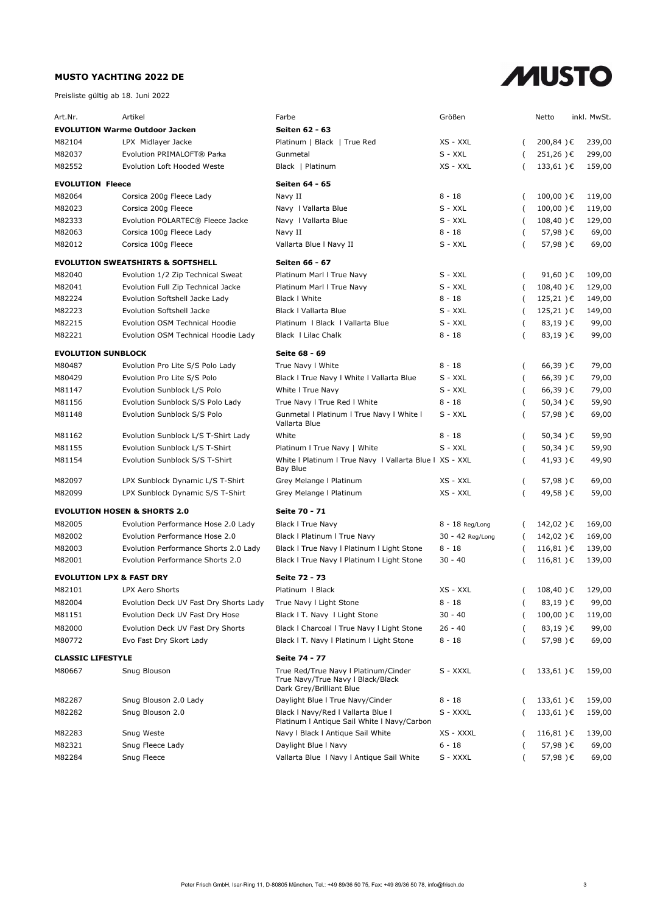

| Art.Nr.                               | Artikel                                      | Farbe                                                                                                 | Größen           |                | Netto         | inkl. MwSt. |
|---------------------------------------|----------------------------------------------|-------------------------------------------------------------------------------------------------------|------------------|----------------|---------------|-------------|
| <b>EVOLUTION Warme Outdoor Jacken</b> |                                              | Seiten 62 - 63                                                                                        |                  |                |               |             |
| M82104                                | LPX Midlayer Jacke                           | Platinum   Black   True Red                                                                           | XS - XXL         |                | 200,84)€      | 239,00      |
| M82037                                | Evolution PRIMALOFT® Parka                   | Gunmetal                                                                                              | S - XXL          |                | 251,26)€      | 299,00      |
| M82552                                | Evolution Loft Hooded Weste                  | Black   Platinum                                                                                      | XS - XXL         | $\overline{ }$ | 133,61)€      | 159,00      |
|                                       |                                              |                                                                                                       |                  |                |               |             |
| <b>EVOLUTION Fleece</b>               |                                              | Seiten 64 - 65                                                                                        |                  |                |               |             |
| M82064                                | Corsica 200g Fleece Lady                     | Navy II                                                                                               | $8 - 18$         | $\left($       | $100,00$ ) €  | 119,00      |
| M82023                                | Corsica 200g Fleece                          | Navy I Vallarta Blue                                                                                  | S - XXL          | - (            | $100,00$ ) €  | 119,00      |
| M82333                                | Evolution POLARTEC® Fleece Jacke             | Navy   Vallarta Blue                                                                                  | S - XXL          |                | $108,40$ ) €  | 129,00      |
| M82063                                | Corsica 100g Fleece Lady                     | Navy II                                                                                               | $8 - 18$         |                | 57,98)€       | 69,00       |
| M82012                                | Corsica 100g Fleece                          | Vallarta Blue I Navy II                                                                               | S - XXL          |                | 57,98)€       | 69,00       |
|                                       | <b>EVOLUTION SWEATSHIRTS &amp; SOFTSHELL</b> | Seiten 66 - 67                                                                                        |                  |                |               |             |
| M82040                                | Evolution 1/2 Zip Technical Sweat            | Platinum Marl I True Navy                                                                             | S - XXL          | - (            | 91,60 $) \in$ | 109,00      |
| M82041                                | Evolution Full Zip Technical Jacke           | Platinum Marl I True Navy                                                                             | S - XXL          | $\overline{ }$ | 108,40)€      | 129,00      |
| M82224                                | Evolution Softshell Jacke Lady               | <b>Black I White</b>                                                                                  | 8 - 18           |                | $125,21$ )€   | 149,00      |
| M82223                                | Evolution Softshell Jacke                    | Black   Vallarta Blue                                                                                 | S - XXL          | - (            | $125,21$ ) €  | 149,00      |
| M82215                                | Evolution OSM Technical Hoodie               | Platinum   Black   Vallarta Blue                                                                      | S - XXL          |                | 83,19)€       | 99,00       |
| M82221                                | Evolution OSM Technical Hoodie Lady          | Black   Lilac Chalk                                                                                   | $8 - 18$         |                | 83,19)€       | 99,00       |
| <b>EVOLUTION SUNBLOCK</b>             |                                              | Seite 68 - 69                                                                                         |                  |                |               |             |
| M80487                                | Evolution Pro Lite S/S Polo Lady             | True Navy I White                                                                                     | $8 - 18$         | $\left($       | 66,39)€       | 79,00       |
| M80429                                | Evolution Pro Lite S/S Polo                  | Black I True Navy I White I Vallarta Blue                                                             | S - XXL          | (              | 66,39)€       | 79,00       |
| M81147                                | Evolution Sunblock L/S Polo                  | White I True Navy                                                                                     | S - XXL          |                | 66,39)€       | 79,00       |
| M81156                                | Evolution Sunblock S/S Polo Lady             | True Navy I True Red I White                                                                          | $8 - 18$         |                | 50,34)€       | 59,90       |
| M81148                                | Evolution Sunblock S/S Polo                  | Gunmetal I Platinum I True Navy I White I<br>Vallarta Blue                                            | $S - XXL$        |                | 57,98)€       | 69,00       |
| M81162                                | Evolution Sunblock L/S T-Shirt Lady          | White                                                                                                 | $8 - 18$         |                | 50,34)€       | 59,90       |
| M81155                                | Evolution Sunblock L/S T-Shirt               | Platinum I True Navy   White                                                                          | S - XXL          |                | 50,34)€       | 59,90       |
| M81154                                | Evolution Sunblock S/S T-Shirt               | White I Platinum I True Navy I Vallarta Blue I XS - XXL<br>Bay Blue                                   |                  |                | 41,93)€       | 49,90       |
| M82097                                | LPX Sunblock Dynamic L/S T-Shirt             | Grey Melange   Platinum                                                                               | XS - XXL         |                | 57,98)€       | 69,00       |
| M82099                                | LPX Sunblock Dynamic S/S T-Shirt             | Grey Melange   Platinum                                                                               | XS - XXL         |                | 49,58)€       | 59,00       |
|                                       | <b>EVOLUTION HOSEN &amp; SHORTS 2.0</b>      | Seite 70 - 71                                                                                         |                  |                |               |             |
| M82005                                | Evolution Performance Hose 2.0 Lady          | <b>Black I True Navy</b>                                                                              | 8 - 18 Reg/Long  | $\left($       | 142,02)€      | 169,00      |
| M82002                                | Evolution Performance Hose 2.0               | Black   Platinum   True Navy                                                                          | 30 - 42 Reg/Long | $\overline{ }$ | 142,02)€      | 169,00      |
| M82003                                | Evolution Performance Shorts 2.0 Lady        | Black I True Navy I Platinum I Light Stone                                                            | $8 - 18$         | (              | 116,81)€      | 139,00      |
| M82001                                | Evolution Performance Shorts 2.0             | Black I True Navy I Platinum I Light Stone                                                            | $30 - 40$        |                | $116,81$ ) €  | 139,00      |
| <b>EVOLUTION LPX &amp; FAST DRY</b>   |                                              | Seite 72 - 73                                                                                         |                  |                |               |             |
| M82101                                | LPX Aero Shorts                              | Platinum   Black                                                                                      | XS - XXL         |                | 108,40)€      | 129,00      |
| M82004                                | Evolution Deck UV Fast Dry Shorts Lady       | True Navy I Light Stone                                                                               | 8 - 18           | (              | 83,19)€       | 99,00       |
| M81151                                | Evolution Deck UV Fast Dry Hose              | Black I T. Navy I Light Stone                                                                         | $30 - 40$        |                | 100,00)€      | 119,00      |
| M82000                                | Evolution Deck UV Fast Dry Shorts            | Black I Charcoal I True Navy I Light Stone                                                            | $26 - 40$        |                | 83,19)€       | 99,00       |
| M80772                                | Evo Fast Dry Skort Lady                      | Black I T. Navy I Platinum I Light Stone                                                              | 8 - 18           |                | 57,98)€       | 69,00       |
|                                       |                                              |                                                                                                       |                  |                |               |             |
| <b>CLASSIC LIFESTYLE</b>              |                                              | Seite 74 - 77                                                                                         |                  |                |               |             |
| M80667                                | Snug Blouson                                 | True Red/True Navy I Platinum/Cinder<br>True Navy/True Navy I Black/Black<br>Dark Grey/Brilliant Blue | S - XXXL         | (              | 133,61)€      | 159,00      |
| M82287                                | Snug Blouson 2.0 Lady                        | Daylight Blue I True Navy/Cinder                                                                      | 8 - 18           |                | 133,61)€      | 159,00      |
| M82282                                | Snug Blouson 2.0                             | Black   Navy/Red   Vallarta Blue  <br>Platinum I Antique Sail White I Navy/Carbon                     | S - XXXL         | (              | 133,61)€      | 159,00      |
| M82283                                | Snug Weste                                   | Navy I Black I Antique Sail White                                                                     | XS - XXXL        |                | $116,81$ ) €  | 139,00      |
| M82321                                | Snug Fleece Lady                             | Daylight Blue   Navy                                                                                  | $6 - 18$         |                | 57,98)€       | 69,00       |
| M82284                                | Snug Fleece                                  | Vallarta Blue   Navy   Antique Sail White                                                             | S - XXXL         |                | 57,98)€       | 69,00       |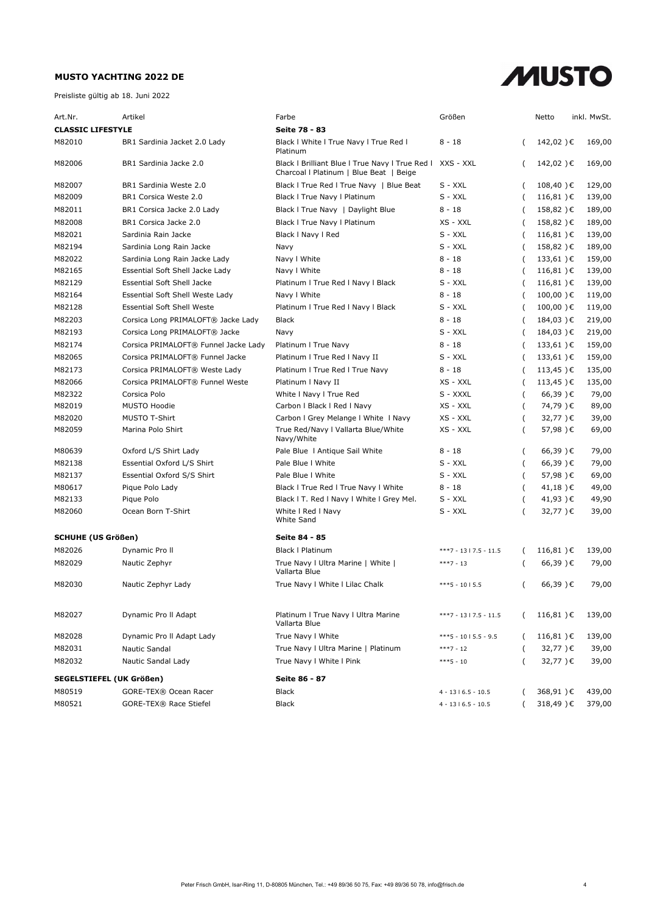

| <b>CLASSIC LIFESTYLE</b><br>Seite 78 - 83<br>M82010<br>BR1 Sardinia Jacket 2.0 Lady<br>Black I White I True Navy I True Red I<br>8 - 18<br>142,02)€<br>169,00<br>Platinum<br>M82006<br>BR1 Sardinia Jacke 2.0<br>Black I Brilliant Blue I True Navy I True Red I<br>XXS - XXL<br>142,02)€<br>169,00<br>Charcoal   Platinum   Blue Beat   Beige<br>Black I True Red I True Navy   Blue Beat<br>S - XXL<br>M82007<br>BR1 Sardinia Weste 2.0<br>$108,40$ ) €<br>129,00<br>$S - XXL$<br>M82009<br>BR1 Corsica Weste 2.0<br>Black I True Navy I Platinum<br>$116,81$ ) €<br>139,00<br>M82011<br>BR1 Corsica Jacke 2.0 Lady<br>Black I True Navy   Daylight Blue<br>8 - 18<br>158,82)€<br>189,00<br>M82008<br>BR1 Corsica Jacke 2.0<br>Black I True Navy I Platinum<br>158,82)€<br>XS - XXL<br>189,00<br>M82021<br>Sardinia Rain Jacke<br>$S - XXL$<br>$116,81$ ) €<br>139,00<br>Black I Navy I Red<br>( |
|----------------------------------------------------------------------------------------------------------------------------------------------------------------------------------------------------------------------------------------------------------------------------------------------------------------------------------------------------------------------------------------------------------------------------------------------------------------------------------------------------------------------------------------------------------------------------------------------------------------------------------------------------------------------------------------------------------------------------------------------------------------------------------------------------------------------------------------------------------------------------------------------------|
|                                                                                                                                                                                                                                                                                                                                                                                                                                                                                                                                                                                                                                                                                                                                                                                                                                                                                                    |
|                                                                                                                                                                                                                                                                                                                                                                                                                                                                                                                                                                                                                                                                                                                                                                                                                                                                                                    |
|                                                                                                                                                                                                                                                                                                                                                                                                                                                                                                                                                                                                                                                                                                                                                                                                                                                                                                    |
|                                                                                                                                                                                                                                                                                                                                                                                                                                                                                                                                                                                                                                                                                                                                                                                                                                                                                                    |
|                                                                                                                                                                                                                                                                                                                                                                                                                                                                                                                                                                                                                                                                                                                                                                                                                                                                                                    |
|                                                                                                                                                                                                                                                                                                                                                                                                                                                                                                                                                                                                                                                                                                                                                                                                                                                                                                    |
|                                                                                                                                                                                                                                                                                                                                                                                                                                                                                                                                                                                                                                                                                                                                                                                                                                                                                                    |
|                                                                                                                                                                                                                                                                                                                                                                                                                                                                                                                                                                                                                                                                                                                                                                                                                                                                                                    |
| M82194<br>S - XXL<br>158,82)€<br>189,00<br>Sardinia Long Rain Jacke<br>Navy                                                                                                                                                                                                                                                                                                                                                                                                                                                                                                                                                                                                                                                                                                                                                                                                                        |
| M82022<br>Navy I White<br>$8 - 18$<br>Sardinia Long Rain Jacke Lady<br>$133,61$ ) €<br>159,00                                                                                                                                                                                                                                                                                                                                                                                                                                                                                                                                                                                                                                                                                                                                                                                                      |
| M82165<br>Essential Soft Shell Jacke Lady<br>Navy I White<br>8 - 18<br>$116,81$ ) €<br>139,00                                                                                                                                                                                                                                                                                                                                                                                                                                                                                                                                                                                                                                                                                                                                                                                                      |
| M82129<br><b>Essential Soft Shell Jacke</b><br>$S - XXL$<br>$116,81$ ) €<br>139,00<br>Platinum I True Red I Navy I Black                                                                                                                                                                                                                                                                                                                                                                                                                                                                                                                                                                                                                                                                                                                                                                           |
| M82164<br>Navy I White<br>$8 - 18$<br>$100,00$ ) €<br>Essential Soft Shell Weste Lady<br>119,00                                                                                                                                                                                                                                                                                                                                                                                                                                                                                                                                                                                                                                                                                                                                                                                                    |
| M82128<br><b>Essential Soft Shell Weste</b><br>Platinum I True Red I Navy I Black<br>S - XXL<br>$100,00$ ) €<br>119,00                                                                                                                                                                                                                                                                                                                                                                                                                                                                                                                                                                                                                                                                                                                                                                             |
| M82203<br>$8 - 18$<br>Corsica Long PRIMALOFT® Jacke Lady<br><b>Black</b><br>184,03)€<br>219,00<br>(                                                                                                                                                                                                                                                                                                                                                                                                                                                                                                                                                                                                                                                                                                                                                                                                |
| M82193<br>Corsica Long PRIMALOFT® Jacke<br>$S - XXL$<br>184,03)€<br>219,00<br>Navy<br>$\overline{(\ }$                                                                                                                                                                                                                                                                                                                                                                                                                                                                                                                                                                                                                                                                                                                                                                                             |
| M82174<br>Corsica PRIMALOFT® Funnel Jacke Lady<br>$8 - 18$<br>133,61)€<br>159,00<br>Platinum I True Navy<br>(                                                                                                                                                                                                                                                                                                                                                                                                                                                                                                                                                                                                                                                                                                                                                                                      |
| M82065<br>Corsica PRIMALOFT® Funnel Jacke<br>133,61)€<br>Platinum I True Red I Navy II<br>$S - XXL$<br>159,00                                                                                                                                                                                                                                                                                                                                                                                                                                                                                                                                                                                                                                                                                                                                                                                      |
| M82173<br>113,45)€<br>135,00<br>Corsica PRIMALOFT® Weste Lady<br>Platinum I True Red I True Navy<br>8 - 18                                                                                                                                                                                                                                                                                                                                                                                                                                                                                                                                                                                                                                                                                                                                                                                         |
| M82066<br>Corsica PRIMALOFT® Funnel Weste<br>XS - XXL<br>$113,45$ ) €<br>135,00<br>Platinum I Navy II                                                                                                                                                                                                                                                                                                                                                                                                                                                                                                                                                                                                                                                                                                                                                                                              |
| M82322<br>79,00<br>Corsica Polo<br>White I Navy I True Red<br>S - XXXL<br>66,39)€<br>$\left($                                                                                                                                                                                                                                                                                                                                                                                                                                                                                                                                                                                                                                                                                                                                                                                                      |
| XS - XXL<br>M82019<br><b>MUSTO Hoodie</b><br>Carbon I Black I Red I Navy<br>74,79)€<br>89,00<br>(                                                                                                                                                                                                                                                                                                                                                                                                                                                                                                                                                                                                                                                                                                                                                                                                  |
| M82020<br><b>MUSTO T-Shirt</b><br>Carbon I Grey Melange I White I Navy<br>XS - XXL<br>39,00<br>32,77)€                                                                                                                                                                                                                                                                                                                                                                                                                                                                                                                                                                                                                                                                                                                                                                                             |
| M82059<br>XS - XXL<br>57,98)€<br>69,00<br>Marina Polo Shirt<br>True Red/Navy I Vallarta Blue/White<br>(<br>Navy/White                                                                                                                                                                                                                                                                                                                                                                                                                                                                                                                                                                                                                                                                                                                                                                              |
| 79,00<br>M80639<br>Oxford L/S Shirt Lady<br>Pale Blue   Antique Sail White<br>8 - 18<br>$66,39$ ) €<br>(                                                                                                                                                                                                                                                                                                                                                                                                                                                                                                                                                                                                                                                                                                                                                                                           |
| M82138<br>S - XXL<br>66,39)€<br>79,00<br>Essential Oxford L/S Shirt<br>Pale Blue I White<br>$\overline{(\ }$                                                                                                                                                                                                                                                                                                                                                                                                                                                                                                                                                                                                                                                                                                                                                                                       |
| M82137<br>Essential Oxford S/S Shirt<br>Pale Blue I White<br>S - XXL<br>57,98)€<br>69,00<br>(                                                                                                                                                                                                                                                                                                                                                                                                                                                                                                                                                                                                                                                                                                                                                                                                      |
| M80617<br>$41,18$ ) €<br>49,00<br>Pique Polo Lady<br>Black I True Red I True Navy I White<br>8 - 18                                                                                                                                                                                                                                                                                                                                                                                                                                                                                                                                                                                                                                                                                                                                                                                                |
| M82133<br>Pique Polo<br>Black I T. Red I Navy I White I Grey Mel.<br>S - XXL<br>41,93)€<br>49,90                                                                                                                                                                                                                                                                                                                                                                                                                                                                                                                                                                                                                                                                                                                                                                                                   |
| M82060<br>Ocean Born T-Shirt<br>White I Red I Navy<br>$S - XXL$<br>39,00<br>32,77)€<br><b>White Sand</b>                                                                                                                                                                                                                                                                                                                                                                                                                                                                                                                                                                                                                                                                                                                                                                                           |
| <b>SCHUHE (US Größen)</b><br>Seite 84 - 85                                                                                                                                                                                                                                                                                                                                                                                                                                                                                                                                                                                                                                                                                                                                                                                                                                                         |
| M82026<br>$116,81$ ) €<br>Dynamic Pro II<br><b>Black I Platinum</b><br>139,00<br>$***7 - 1317.5 - 11.5$<br>(                                                                                                                                                                                                                                                                                                                                                                                                                                                                                                                                                                                                                                                                                                                                                                                       |
| M82029<br>True Navy I Ultra Marine   White  <br>Nautic Zephyr<br>$66,39$ ) €<br>79,00<br>$***7 - 13$<br>Vallarta Blue                                                                                                                                                                                                                                                                                                                                                                                                                                                                                                                                                                                                                                                                                                                                                                              |
| M82030<br>66,39)€<br>79,00<br>True Navy I White I Lilac Chalk<br>Nautic Zephyr Lady<br>$***5 - 1015.5$                                                                                                                                                                                                                                                                                                                                                                                                                                                                                                                                                                                                                                                                                                                                                                                             |
| Platinum I True Navy I Ultra Marine<br>$116,81$ ) €<br>139,00<br>M82027<br>Dynamic Pro II Adapt<br>$***7 - 1317.5 - 11.5$<br>$\left($<br>Vallarta Blue                                                                                                                                                                                                                                                                                                                                                                                                                                                                                                                                                                                                                                                                                                                                             |
| M82028<br>Dynamic Pro II Adapt Lady<br>True Navy I White<br>$116,81$ ) €<br>139,00<br>$***5 - 1015.5 - 9.5$                                                                                                                                                                                                                                                                                                                                                                                                                                                                                                                                                                                                                                                                                                                                                                                        |
| M82031<br>Nautic Sandal<br>True Navy I Ultra Marine   Platinum<br>32,77)€<br>39,00<br>$***7 - 12$                                                                                                                                                                                                                                                                                                                                                                                                                                                                                                                                                                                                                                                                                                                                                                                                  |
| M82032<br>32,77)€<br>Nautic Sandal Lady<br>True Navy I White I Pink<br>39,00<br>$***5 - 10$                                                                                                                                                                                                                                                                                                                                                                                                                                                                                                                                                                                                                                                                                                                                                                                                        |
| SEGELSTIEFEL (UK Größen)<br>Seite 86 - 87                                                                                                                                                                                                                                                                                                                                                                                                                                                                                                                                                                                                                                                                                                                                                                                                                                                          |
| 439,00<br>M80519<br>GORE-TEX® Ocean Racer<br>Black<br>368,91)€<br>$4 - 1316.5 - 10.5$<br>(                                                                                                                                                                                                                                                                                                                                                                                                                                                                                                                                                                                                                                                                                                                                                                                                         |
| M80521<br>379,00<br><b>GORE-TEX® Race Stiefel</b><br>Black<br>318,49)€<br>$4 - 13   6.5 - 10.5$                                                                                                                                                                                                                                                                                                                                                                                                                                                                                                                                                                                                                                                                                                                                                                                                    |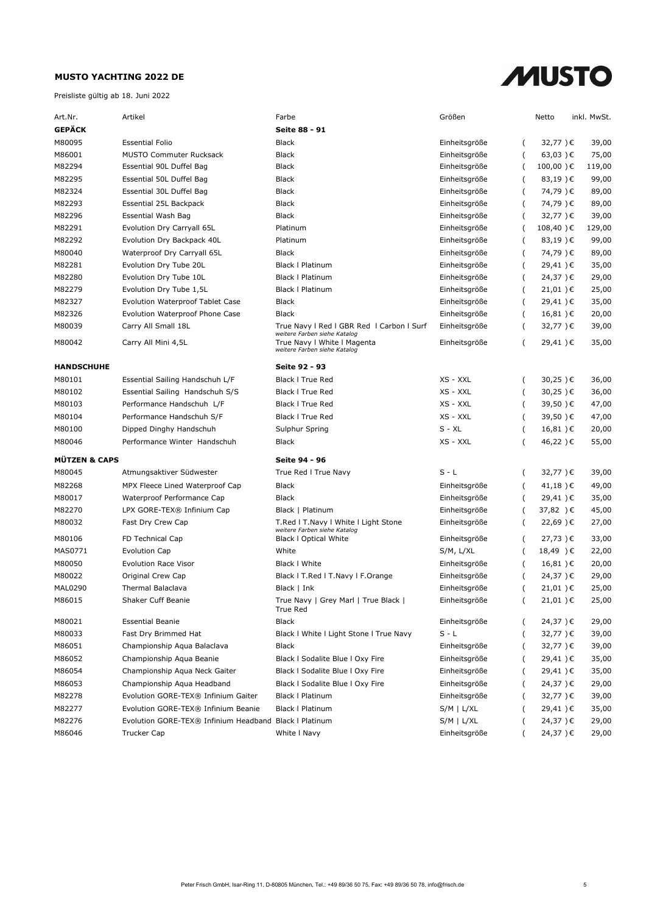

| Art.Nr.                  | Artikel                                                | Farbe                                                                                       | Größen          |                  | Netto            | inkl. MwSt. |
|--------------------------|--------------------------------------------------------|---------------------------------------------------------------------------------------------|-----------------|------------------|------------------|-------------|
| <b>GEPÄCK</b>            |                                                        | Seite 88 - 91                                                                               |                 |                  |                  |             |
| M80095                   | <b>Essential Folio</b>                                 | <b>Black</b>                                                                                | Einheitsgröße   | (                | 32,77)€          | 39,00       |
| M86001                   | <b>MUSTO Commuter Rucksack</b>                         | <b>Black</b>                                                                                | Einheitsgröße   |                  | $63,03$ ) €      | 75,00       |
| M82294                   | Essential 90L Duffel Bag                               | Black                                                                                       | Einheitsgröße   |                  | $100,00$ ) €     | 119,00      |
| M82295                   | Essential 50L Duffel Bag                               | <b>Black</b>                                                                                | Einheitsgröße   |                  | $83,19$ ) €      | 99,00       |
| M82324                   | Essential 30L Duffel Bag                               | <b>Black</b>                                                                                | Einheitsgröße   |                  | 74,79)€          | 89,00       |
| M82293                   | Essential 25L Backpack                                 | <b>Black</b>                                                                                | Einheitsgröße   | (                | 74,79)€          | 89,00       |
| M82296                   | Essential Wash Bag                                     | <b>Black</b>                                                                                | Einheitsgröße   | (                | 32,77)€          | 39,00       |
| M82291                   | Evolution Dry Carryall 65L                             | Platinum                                                                                    | Einheitsgröße   | (                | 108,40)€         | 129,00      |
| M82292                   | Evolution Dry Backpack 40L                             | Platinum                                                                                    | Einheitsgröße   | (                | 83,19)€          | 99,00       |
| M80040                   | Waterproof Dry Carryall 65L                            | <b>Black</b>                                                                                | Einheitsgröße   | (                | 74,79)€          | 89,00       |
| M82281                   | Evolution Dry Tube 20L                                 | <b>Black   Platinum</b>                                                                     | Einheitsgröße   | (                | 29,41)€          | 35,00       |
| M82280                   | Evolution Dry Tube 10L                                 | <b>Black   Platinum</b>                                                                     | Einheitsgröße   | (                | 24,37)€          | 29,00       |
| M82279                   | Evolution Dry Tube 1,5L                                | <b>Black   Platinum</b>                                                                     | Einheitsgröße   | (                | 21,01)€          | 25,00       |
| M82327                   | <b>Evolution Waterproof Tablet Case</b>                | Black                                                                                       | Einheitsgröße   | (                | 29,41)€          | 35,00       |
| M82326                   | Evolution Waterproof Phone Case                        | <b>Black</b>                                                                                | Einheitsgröße   | (                | 16,81)€          | 20,00       |
| M80039                   | Carry All Small 18L                                    | True Navy I Red I GBR Red I Carbon I Surf                                                   | Einheitsgröße   | (                | 32,77)€          | 39,00       |
| M80042                   | Carry All Mini 4,5L                                    | weitere Farben siehe Katalog<br>True Navy I White I Magenta<br>weitere Farben siehe Katalog | Einheitsgröße   | (                | 29,41)€          | 35,00       |
| <b>HANDSCHUHE</b>        |                                                        | Seite 92 - 93                                                                               |                 |                  |                  |             |
| M80101                   | Essential Sailing Handschuh L/F                        | <b>Black I True Red</b>                                                                     | XS - XXL        | (                | 30,25)€          | 36,00       |
| M80102                   | Essential Sailing Handschuh S/S                        | <b>Black I True Red</b>                                                                     | XS - XXL        | (                | 30,25)€          | 36,00       |
| M80103                   | Performance Handschuh L/F                              | <b>Black I True Red</b>                                                                     | XS - XXL        | $\overline{(\ }$ | 39,50)€          | 47,00       |
| M80104                   | Performance Handschuh S/F                              | <b>Black I True Red</b>                                                                     | XS - XXL        | (                | 39,50)€          | 47,00       |
| M80100                   | Dipped Dinghy Handschuh                                | Sulphur Spring                                                                              | $S - XL$        | (                | 16,81)€          | 20,00       |
| M80046                   | Performance Winter Handschuh                           | Black                                                                                       | XS - XXL        |                  | 46,22)€          | 55,00       |
| <b>MÜTZEN &amp; CAPS</b> |                                                        | Seite 94 - 96                                                                               |                 |                  |                  |             |
| M80045                   | Atmungsaktiver Südwester                               | True Red I True Navy                                                                        | $S - L$         | (                | 32,77)€          | 39,00       |
| M82268                   | MPX Fleece Lined Waterproof Cap                        | <b>Black</b>                                                                                | Einheitsgröße   | (                | 41,18)€          | 49,00       |
| M80017                   | Waterproof Performance Cap                             | <b>Black</b>                                                                                | Einheitsgröße   |                  | 29,41)€          | 35,00       |
| M82270                   | LPX GORE-TEX® Infinium Cap                             | Black   Platinum                                                                            | Einheitsgröße   |                  | 37,82 )€         | 45,00       |
| M80032                   | Fast Dry Crew Cap                                      | T.Red I T.Navy I White I Light Stone                                                        | Einheitsgröße   | (                | 22,69)€          | 27,00       |
| M80106                   | FD Technical Cap                                       | weitere Farben siehe Katalog<br><b>Black I Optical White</b>                                | Einheitsgröße   | (                | 27,73)€          | 33,00       |
| MAS0771                  | <b>Evolution Cap</b>                                   | White                                                                                       | $S/M$ , $L/XL$  |                  | 18,49 )€         | 22,00       |
| M80050                   | <b>Evolution Race Visor</b>                            | Black I White                                                                               | Einheitsgröße   | (                | 16,81)€          | 20,00       |
| M80022                   | Original Crew Cap                                      | Black I T.Red I T.Navy I F.Orange                                                           | Einheitsgröße   |                  | 24,37)€          | 29,00       |
| MAL0290                  | Thermal Balaclava                                      | Black   Ink                                                                                 | Einheitsgröße   |                  | 21,01)€          | 25,00       |
| M86015                   | Shaker Cuff Beanie                                     | True Navy   Grey Marl   True Black                                                          | Einheitsgröße   | (                | 21,01 $\epsilon$ | 25,00       |
|                          |                                                        | True Red                                                                                    |                 |                  |                  |             |
| M80021                   | <b>Essential Beanie</b>                                | <b>Black</b>                                                                                | Einheitsgröße   |                  | 24,37)€          | 29,00       |
| M80033                   | Fast Dry Brimmed Hat                                   | Black I White I Light Stone I True Navy                                                     | $S - L$         |                  | 32,77)€          | 39,00       |
| M86051                   | Championship Aqua Balaclava                            | Black                                                                                       | Einheitsgröße   | (                | 32,77)€          | 39,00       |
| M86052                   | Championship Aqua Beanie                               | Black I Sodalite Blue I Oxy Fire                                                            | Einheitsgröße   | (                | 29,41)€          | 35,00       |
| M86054                   | Championship Aqua Neck Gaiter                          | Black I Sodalite Blue I Oxy Fire                                                            | Einheitsgröße   | (                | 29,41)€          | 35,00       |
| M86053                   | Championship Aqua Headband                             | Black I Sodalite Blue I Oxy Fire                                                            | Einheitsgröße   | (                | 24,37)€          | 29,00       |
| M82278                   | Evolution GORE-TEX® Infinium Gaiter                    | Black   Platinum                                                                            | Einheitsgröße   | (                | 32,77)€          | 39,00       |
| M82277                   | Evolution GORE-TEX® Infinium Beanie                    | <b>Black   Platinum</b>                                                                     | $S/M \mid L/XL$ |                  | 29,41)€          | 35,00       |
| M82276                   | Evolution GORE-TEX® Infinium Headband Black   Platinum |                                                                                             | $S/M$   $L/XL$  |                  | 24,37)€          | 29,00       |
| M86046                   | <b>Trucker Cap</b>                                     | White I Navy                                                                                | Einheitsgröße   |                  | 24,37)€          | 29,00       |